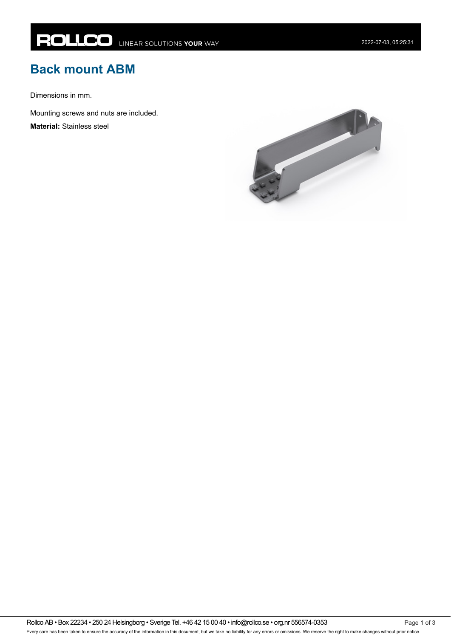## **Back mount ABM**

Dimensions in mm.

Mounting screws and nuts are included.

**Material:** Stainless steel

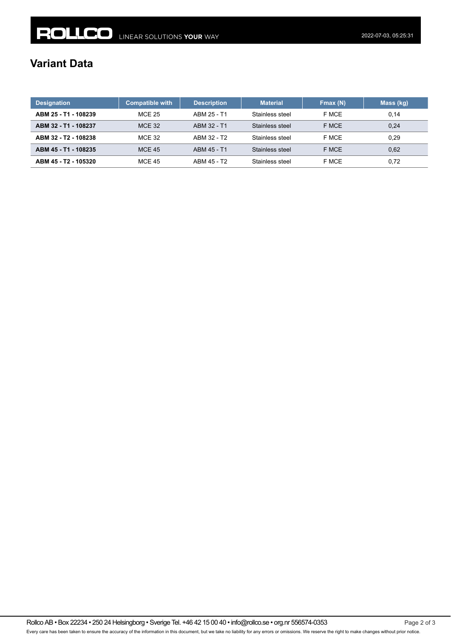## **Variant Data**

| <b>Designation</b>   | <b>Compatible with</b> | <b>Description</b> | <b>Material</b> | Fmax (N) | Mass (kg) |
|----------------------|------------------------|--------------------|-----------------|----------|-----------|
| ABM 25 - T1 - 108239 | MCE 25                 | ABM 25 - T1        | Stainless steel | F MCE    | 0,14      |
| ABM 32 - T1 - 108237 | <b>MCE 32</b>          | ABM 32 - T1        | Stainless steel | F MCE    | 0.24      |
| ABM 32 - T2 - 108238 | <b>MCE 32</b>          | ABM 32 - T2        | Stainless steel | F MCE    | 0.29      |
| ABM 45 - T1 - 108235 | <b>MCE 45</b>          | ABM 45 - T1        | Stainless steel | F MCE    | 0,62      |
| ABM 45 - T2 - 105320 | <b>MCE 45</b>          | ABM 45 - T2        | Stainless steel | F MCE    | 0.72      |

Rollco AB • Box 22234 • 250 24 Helsingborg • Sverige Tel. +46 42 15 00 40 • info@rollco.se • org.nr 556574-0353 Page 2 of 3 Every care has been taken to ensure the accuracy of the information in this document, but we take no liability for any errors or omissions. We reserve the right to make changes without prior notice.